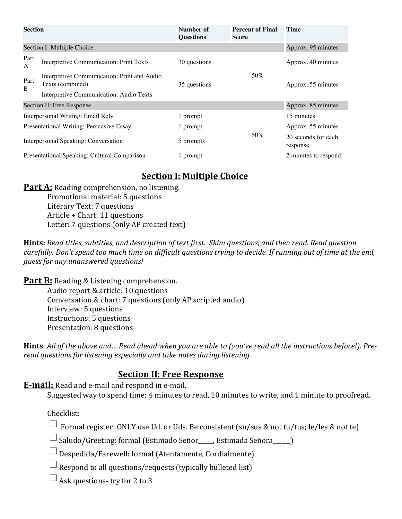| <b>Section</b>                               |                                                                 | Number of<br><b>Questions</b> | <b>Percent of Final</b><br>Score | <b>Time</b>                     |
|----------------------------------------------|-----------------------------------------------------------------|-------------------------------|----------------------------------|---------------------------------|
| Section I: Multiple Choice                   |                                                                 |                               | Approx. 95 minutes               |                                 |
| Part<br>A                                    | <b>Interpretive Communication: Print Texts</b>                  | 30 questions                  | 50%                              | Approx. 40 minutes              |
| Part<br>B                                    | Interpretive Communication: Print and Audio<br>Texts (combined) | 35 questions                  |                                  | Approx. 55 minutes              |
|                                              | Interpretive Communication: Audio Texts                         |                               |                                  |                                 |
| Section II: Free Response                    |                                                                 |                               | Approx. 85 minutes               |                                 |
| Interpersonal Writing: Email Rely            |                                                                 | 1 prompt                      | 50%                              | 15 minutes                      |
| Presentational Writing: Persuasive Essay     |                                                                 | 1 prompt                      |                                  | Approx. 55 minutes              |
| Interpersonal Speaking: Conversation         |                                                                 | 5 prompts                     |                                  | 20 seconds for each<br>response |
| Presentational Speaking: Cultural Comparison |                                                                 | 1 prompt                      |                                  | 2 minutes to respond            |

# **Section I: Multiple Choice**

**Part A:** Reading comprehension, no listening. Promotional material: 5 questions Literary Text: 7 questions Article + Chart: 11 questions Letter: 7 questions (only AP created text)

**Hints:** Read titles, subtitles, and description of text first. Skim questions, and then read. Read question *carefully.* Don't spend too much time on difficult questions trying to decide. If running out of time at the end, *guess for any unanswered questions!*

**Part B:** Reading & Listening comprehension. Audio report & article: 10 questions Conversation & chart: 7 questions (only AP scripted audio) Interview: 5 questions Instructions: 5 questions Presentation: 8 questions

**Hints**: All of the above and... Read ahead when you are able to (you've read all the instructions before!). Pre*read questions for listening especially and take notes during listening.* 

### **Section II: Free Response**

**E-mail:** Read and e-mail and respond in e-mail.

Suggested way to spend time: 4 minutes to read, 10 minutes to write, and 1 minute to proofread.

Checklist:

 $\Box$  Formal register: ONLY use Ud. or Uds. Be consistent (su/sus & not tu/tus; le/les & not te)

 $\Box$  Saludo/Greeting: formal (Estimado Señor\_\_\_\_, Estimada Señora  $\Box$ )

 $\Box$  Despedida/Farewell: formal (Atentamente, Cordialmente)

 $\Box$  Respond to all questions/requests (typically bulleted list)

 $\Box$  Ask questions- try for 2 to 3